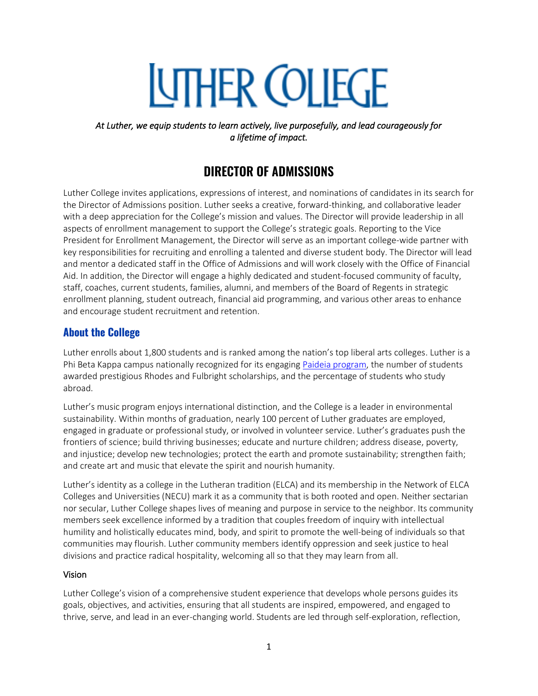# **UTHER COLLEGE**

*At Luther, we equip students to learn actively, live purposefully, and lead courageously for a lifetime of impact.* 

# **DIRECTOR OF ADMISSIONS**

Luther College invites applications, expressions of interest, and nominations of candidates in its search for the Director of Admissions position. Luther seeks a creative, forward-thinking, and collaborative leader with a deep appreciation for the College's mission and values. The Director will provide leadership in all aspects of enrollment management to support the College's strategic goals. Reporting to the Vice President for Enrollment Management, the Director will serve as an important college-wide partner with key responsibilities for recruiting and enrolling a talented and diverse student body. The Director will lead and mentor a dedicated staff in the Office of Admissions and will work closely with the Office of Financial Aid. In addition, the Director will engage a highly dedicated and student-focused community of faculty, staff, coaches, current students, families, alumni, and members of the Board of Regents in strategic enrollment planning, student outreach, financial aid programming, and various other areas to enhance and encourage student recruitment and retention.

# **About the College**

Luther enrolls about 1,800 students and is ranked among the nation's top liberal arts colleges. Luther is a Phi Beta Kappa campus nationally recognized for its engagin[g Paideia program,](https://www.luther.edu/paideia/) the number of students awarded prestigious Rhodes and Fulbright scholarships, and the percentage of students who study abroad.

Luther's music program enjoys international distinction, and the College is a leader in environmental sustainability. Within months of graduation, nearly 100 percent of Luther graduates are employed, engaged in graduate or professional study, or involved in volunteer service. Luther's graduates push the frontiers of science; build thriving businesses; educate and nurture children; address disease, poverty, and injustice; develop new technologies; protect the earth and promote sustainability; strengthen faith; and create art and music that elevate the spirit and nourish humanity.

Luther's identity as a college in the Lutheran tradition (ELCA) and its membership in the Network of ELCA Colleges and Universities (NECU) mark it as a community that is both rooted and open. Neither sectarian nor secular, Luther College shapes lives of meaning and purpose in service to the neighbor. Its community members seek excellence informed by a tradition that couples freedom of inquiry with intellectual humility and holistically educates mind, body, and spirit to promote the well-being of individuals so that communities may flourish. Luther community members identify oppression and seek justice to heal divisions and practice radical hospitality, welcoming all so that they may learn from all.

#### Vision

Luther College's vision of a comprehensive student experience that develops whole persons guides its goals, objectives, and activities, ensuring that all students are inspired, empowered, and engaged to thrive, serve, and lead in an ever-changing world. Students are led through self-exploration, reflection,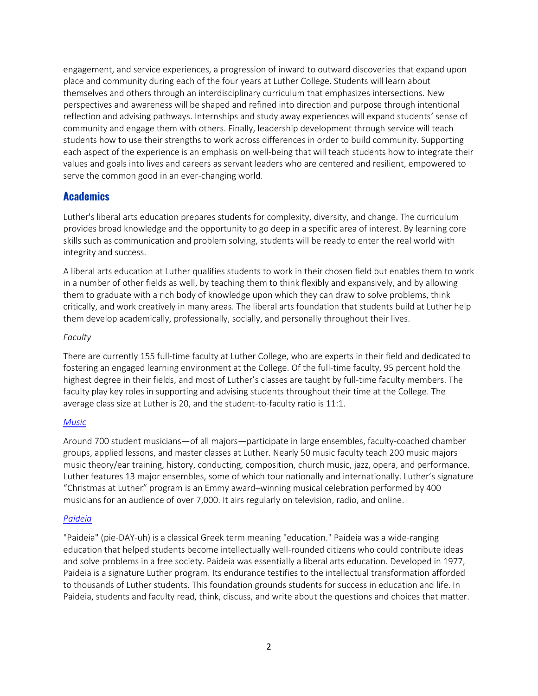engagement, and service experiences, a progression of inward to outward discoveries that expand upon place and community during each of the four years at Luther College. Students will learn about themselves and others through an interdisciplinary curriculum that emphasizes intersections. New perspectives and awareness will be shaped and refined into direction and purpose through intentional reflection and advising pathways. Internships and study away experiences will expand students' sense of community and engage them with others. Finally, leadership development through service will teach students how to use their strengths to work across differences in order to build community. Supporting each aspect of the experience is an emphasis on well-being that will teach students how to integrate their values and goals into lives and careers as servant leaders who are centered and resilient, empowered to serve the common good in an ever-changing world.

## **Academics**

Luther's liberal arts education prepares students for complexity, diversity, and change. The curriculum provides broad knowledge and the opportunity to go deep in a specific area of interest. By learning core skills such as communication and problem solving, students will be ready to enter the real world with integrity and success.

A liberal arts education at Luther qualifies students to work in their chosen field but enables them to work in a number of other fields as well, by teaching them to think flexibly and expansively, and by allowing them to graduate with a rich body of knowledge upon which they can draw to solve problems, think critically, and work creatively in many areas. The liberal arts foundation that students build at Luther help them develop academically, professionally, socially, and personally throughout their lives.

#### *Faculty*

There are currently 155 full-time faculty at Luther College, who are experts in their field and dedicated to fostering an engaged learning environment at the College. Of the full-time faculty, 95 percent hold the highest degree in their fields, and most of Luther's classes are taught by full-time faculty members. The faculty play key roles in supporting and advising students throughout their time at the College. The average class size at Luther is 20, and the student-to-faculty ratio is 11:1.

#### *[Music](https://www.luther.edu/music/)*

Around 700 student musicians—of all majors—participate in large ensembles, faculty-coached chamber groups, applied lessons, and master classes at Luther. Nearly 50 music faculty teach 200 music majors music theory/ear training, history, conducting, composition, church music, jazz, opera, and performance. Luther features 13 major ensembles, some of which tour nationally and internationally. Luther's signature "Christmas at Luther" program is an Emmy award–winning musical celebration performed by 400 musicians for an audience of over 7,000. It airs regularly on television, radio, and online.

#### *[Paideia](https://www.luther.edu/paideia/)*

"Paideia" (pie-DAY-uh) is a classical Greek term meaning "education." Paideia was a wide-ranging education that helped students become intellectually well-rounded citizens who could contribute ideas and solve problems in a free society. Paideia was essentially a liberal arts education. Developed in 1977, Paideia is a signature Luther program. Its endurance testifies to the intellectual transformation afforded to thousands of Luther students. This foundation grounds students for success in education and life. In Paideia, students and faculty read, think, discuss, and write about the questions and choices that matter.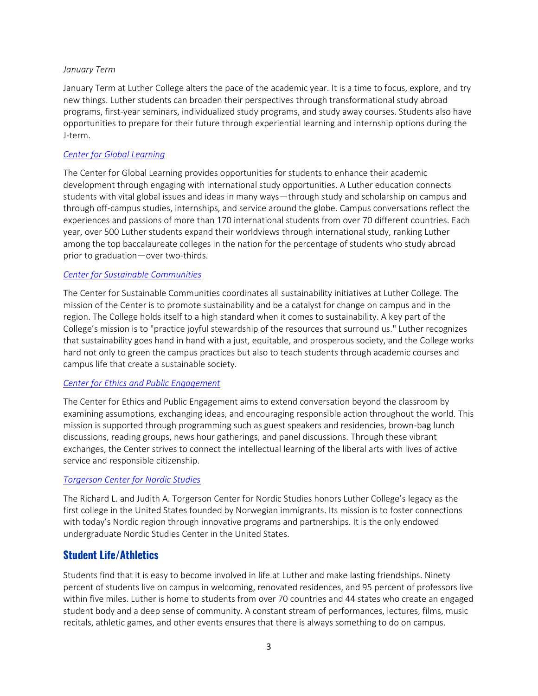#### *January Term*

January Term at Luther College alters the pace of the academic year. It is a time to focus, explore, and try new things. Luther students can broaden their perspectives through transformational study abroad programs, first-year seminars, individualized study programs, and study away courses. Students also have opportunities to prepare for their future through experiential learning and internship options during the J-term.

#### *[Center for Global Learning](https://www.luther.edu/global-learning/)*

The Center for Global Learning provides opportunities for students to enhance their academic development through engaging with international study opportunities. A Luther education connects students with vital global issues and ideas in many ways—through study and scholarship on campus and through off-campus studies, internships, and service around the globe. Campus conversations reflect the experiences and passions of more than 170 international students from over 70 different countries. Each year, over 500 Luther students expand their worldviews through international study, ranking Luther among the top baccalaureate colleges in the nation for the percentage of students who study abroad prior to graduation—over two-thirds.

#### *[Center for Sustainable Communities](https://www.luther.edu/sustainability/about/)*

The Center for Sustainable Communities coordinates all sustainability initiatives at Luther College. The mission of the Center is to promote sustainability and be a catalyst for change on campus and in the region. The College holds itself to a high standard when it comes to sustainability. A key part of the College's mission is to "practice joyful stewardship of the resources that surround us." Luther recognizes that sustainability goes hand in hand with a just, equitable, and prosperous society, and the College works hard not only to green the campus practices but also to teach students through academic courses and campus life that create a sustainable society.

#### *[Center for Ethics and Public Engagement](https://www.luther.edu/ethics-public-engagement/)*

The Center for Ethics and Public Engagement aims to extend conversation beyond the classroom by examining assumptions, exchanging ideas, and encouraging responsible action throughout the world. This mission is supported through programming such as guest speakers and residencies, brown-bag lunch discussions, reading groups, news hour gatherings, and panel discussions. Through these vibrant exchanges, the Center strives to connect the intellectual learning of the liberal arts with lives of active service and responsible citizenship.

#### *[Torgerson Center for Nordic Studies](https://www.luther.edu/center-nordic/about/)*

The Richard L. and Judith A. Torgerson Center for Nordic Studies honors Luther College's legacy as the first college in the United States founded by Norwegian immigrants. Its mission is to foster connections with today's Nordic region through innovative programs and partnerships. It is the only endowed undergraduate Nordic Studies Center in the United States.

## **Student Life/Athletics**

Students find that it is easy to become involved in life at Luther and make lasting friendships. Ninety percent of students live on campus in welcoming, renovated residences, and 95 percent of professors live within five miles. Luther is home to students from over 70 countries and 44 states who create an engaged student body and a deep sense of community. A constant stream of performances, lectures, films, music recitals, athletic games, and other events ensures that there is always something to do on campus.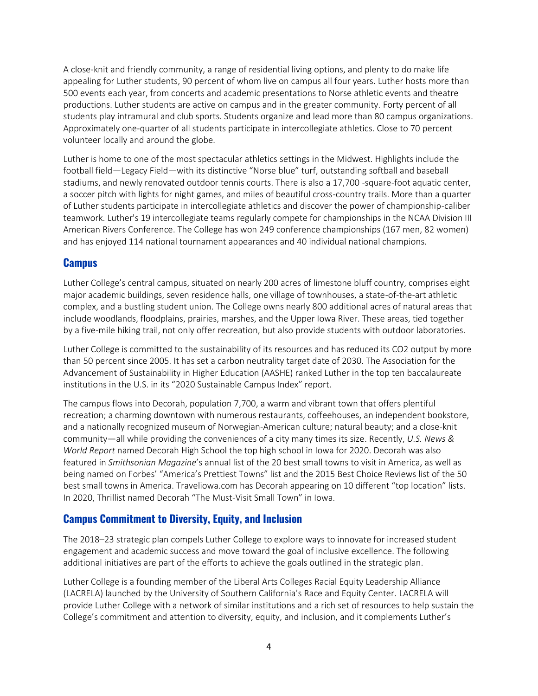A close-knit and friendly community, a range of residential living options, and plenty to do make life appealing for Luther students, 90 percent of whom live on campus all four years. Luther hosts more than 500 events each year, from concerts and academic presentations to Norse athletic events and theatre productions. Luther students are active on campus and in the greater community. Forty percent of all students play intramural and club sports. Students organize and lead more than 80 campus organizations. Approximately one-quarter of all students participate in intercollegiate athletics. Close to 70 percent volunteer locally and around the globe.

Luther is home to one of the most spectacular athletics settings in the Midwest. Highlights include the football field—Legacy Field—with its distinctive "Norse blue" turf, outstanding softball and baseball stadiums, and newly renovated outdoor tennis courts. There is also a 17,700 -square-foot aquatic center, a soccer pitch with lights for night games, and miles of beautiful cross-country trails. More than a quarter of Luther students participate in intercollegiate athletics and discover the power of championship-caliber teamwork. Luther's 19 intercollegiate teams regularly compete for championships in the NCAA Division III American Rivers Conference. The College has won 249 conference championships (167 men, 82 women) and has enjoyed 114 national tournament appearances and 40 individual national champions.

#### **Campus**

Luther College's central campus, situated on nearly 200 acres of limestone bluff country, comprises eight major academic buildings, seven residence halls, one village of townhouses, a state-of-the-art athletic complex, and a bustling student union. The College owns nearly 800 additional acres of natural areas that include woodlands, floodplains, prairies, marshes, and the Upper Iowa River. These areas, tied together by a five-mile hiking trail, not only offer recreation, but also provide students with outdoor laboratories.

Luther College is committed to the sustainability of its resources and has reduced its CO2 output by more than 50 percent since 2005. It has set a carbon neutrality target date of 2030. The Association for the Advancement of Sustainability in Higher Education (AASHE) ranked Luther in the top ten baccalaureate institutions in the U.S. in its "2020 Sustainable Campus Index" report.

The campus flows into Decorah, population 7,700, a warm and vibrant town that offers plentiful recreation; a charming downtown with numerous restaurants, coffeehouses, an independent bookstore, and a nationally recognized museum of Norwegian-American culture; natural beauty; and a close-knit community—all while providing the conveniences of a city many times its size. Recently, *U.S. News & World Report* named Decorah High School the top high school in Iowa for 2020. Decorah was also featured in *Smithsonian Magazine*'s annual list of the 20 best small towns to visit in America, as well as being named on Forbes' "America's Prettiest Towns" list and the 2015 Best Choice Reviews list of the 50 best small towns in America. Traveliowa.com has Decorah appearing on 10 different "top location" lists. In 2020, Thrillist named Decorah "The Must-Visit Small Town" in Iowa.

## **Campus Commitment to Diversity, Equity, and Inclusion**

The 2018–23 strategic plan compels Luther College to explore ways to innovate for increased student engagement and academic success and move toward the goal of inclusive excellence. The following additional initiatives are part of the efforts to achieve the goals outlined in the strategic plan.

Luther College is a founding member of the Liberal Arts Colleges Racial Equity Leadership Alliance (LACRELA) launched by the University of Southern California's Race and Equity Center. LACRELA will provide Luther College with a network of similar institutions and a rich set of resources to help sustain the College's commitment and attention to diversity, equity, and inclusion, and it complements Luther's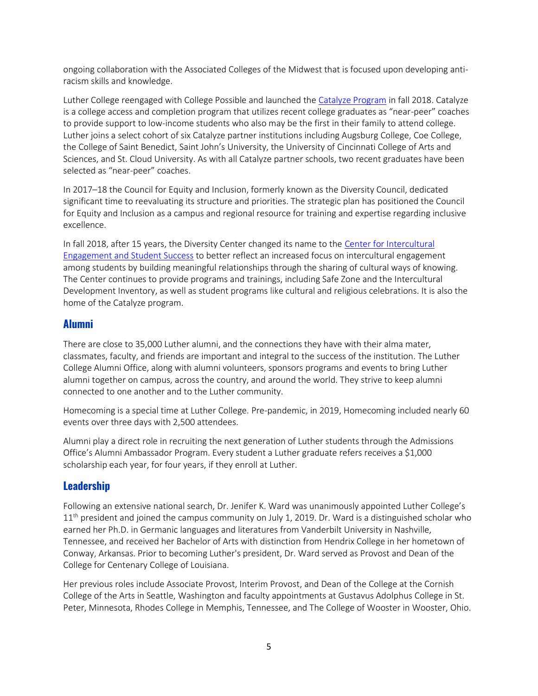ongoing collaboration with the Associated Colleges of the Midwest that is focused upon developing antiracism skills and knowledge.

Luther College reengaged with College Possible and launched th[e Catalyze Program](https://www.luther.edu/catalyze/) in fall 2018. Catalyze is a college access and completion program that utilizes recent college graduates as "near-peer" coaches to provide support to low-income students who also may be the first in their family to attend college. Luther joins a select cohort of six Catalyze partner institutions including Augsburg College, Coe College, the College of Saint Benedict, Saint John's University, the University of Cincinnati College of Arts and Sciences, and St. Cloud University. As with all Catalyze partner schools, two recent graduates have been selected as "near-peer" coaches.

In 2017–18 the Council for Equity and Inclusion, formerly known as the Diversity Council, dedicated significant time to reevaluating its structure and priorities. The strategic plan has positioned the Council for Equity and Inclusion as a campus and regional resource for training and expertise regarding inclusive excellence.

In fall 2018, after 15 years, the Diversity Center changed its name to the [Center for Intercultural](https://www.luther.edu/diversity/)  [Engagement and Student Success](https://www.luther.edu/diversity/) to better reflect an increased focus on intercultural engagement among students by building meaningful relationships through the sharing of cultural ways of knowing. The Center continues to provide programs and trainings, including Safe Zone and the Intercultural Development Inventory, as well as student programs like cultural and religious celebrations. It is also the home of the Catalyze program.

#### **Alumni**

There are close to 35,000 Luther alumni, and the connections they have with their alma mater, classmates, faculty, and friends are important and integral to the success of the institution. The Luther College Alumni Office, along with alumni volunteers, sponsors programs and events to bring Luther alumni together on campus, across the country, and around the world. They strive to keep alumni connected to one another and to the Luther community.

Homecoming is a special time at Luther College. Pre-pandemic, in 2019, Homecoming included nearly 60 events over three days with 2,500 attendees.

Alumni play a direct role in recruiting the next generation of Luther students through the Admissions Office's Alumni Ambassador Program. Every student a Luther graduate refers receives a \$1,000 scholarship each year, for four years, if they enroll at Luther.

## **Leadership**

Following an extensive national search, Dr. Jenifer K. Ward was unanimously appointed Luther College's  $11<sup>th</sup>$  president and joined the campus community on July 1, 2019. Dr. Ward is a distinguished scholar who earned her Ph.D. in Germanic languages and literatures from Vanderbilt University in Nashville, Tennessee, and received her Bachelor of Arts with distinction from Hendrix College in her hometown of Conway, Arkansas. Prior to becoming Luther's president, Dr. Ward served as Provost and Dean of the College for Centenary College of Louisiana.

Her previous roles include Associate Provost, Interim Provost, and Dean of the College at the Cornish College of the Arts in Seattle, Washington and faculty appointments at Gustavus Adolphus College in St. Peter, Minnesota, Rhodes College in Memphis, Tennessee, and The College of Wooster in Wooster, Ohio.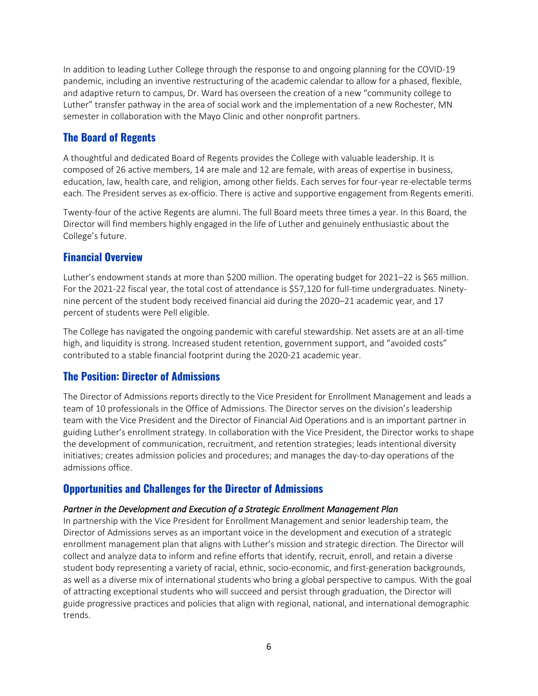In addition to leading Luther College through the response to and ongoing planning for the COVID-19 pandemic, including an inventive restructuring of the academic calendar to allow for a phased, flexible, and adaptive return to campus, Dr. Ward has overseen the creation of a new "community college to Luther" transfer pathway in the area of social work and the implementation of a new Rochester, MN semester in collaboration with the Mayo Clinic and other nonprofit partners.

# **The Board of Regents**

A thoughtful and dedicated Board of Regents provides the College with valuable leadership. It is composed of 26 active members, 14 are male and 12 are female, with areas of expertise in business, education, law, health care, and religion, among other fields. Each serves for four-year re-electable terms each. The President serves as ex-officio. There is active and supportive engagement from Regents emeriti.

Twenty-four of the active Regents are alumni. The full Board meets three times a year. In this Board, the Director will find members highly engaged in the life of Luther and genuinely enthusiastic about the College's future.

# **Financial Overview**

Luther's endowment stands at more than \$200 million. The operating budget for 2021–22 is \$65 million. For the 2021-22 fiscal year, the total cost of attendance is \$57,120 for full-time undergraduates. Ninetynine percent of the student body received financial aid during the 2020–21 academic year, and 17 percent of students were Pell eligible.

The College has navigated the ongoing pandemic with careful stewardship. Net assets are at an all-time high, and liquidity is strong. Increased student retention, government support, and "avoided costs" contributed to a stable financial footprint during the 2020-21 academic year.

# **The Position: Director of Admissions**

The Director of Admissions reports directly to the Vice President for Enrollment Management and leads a team of 10 professionals in the Office of Admissions. The Director serves on the division's leadership team with the Vice President and the Director of Financial Aid Operations and is an important partner in guiding Luther's enrollment strategy. In collaboration with the Vice President, the Director works to shape the development of communication, recruitment, and retention strategies; leads intentional diversity initiatives; creates admission policies and procedures; and manages the day-to-day operations of the admissions office.

# **Opportunities and Challenges for the Director of Admissions**

#### *Partner in the Development and Execution of a Strategic Enrollment Management Plan*

In partnership with the Vice President for Enrollment Management and senior leadership team, the Director of Admissions serves as an important voice in the development and execution of a strategic enrollment management plan that aligns with Luther's mission and strategic direction. The Director will collect and analyze data to inform and refine efforts that identify, recruit, enroll, and retain a diverse student body representing a variety of racial, ethnic, socio-economic, and first-generation backgrounds, as well as a diverse mix of international students who bring a global perspective to campus. With the goal of attracting exceptional students who will succeed and persist through graduation, the Director will guide progressive practices and policies that align with regional, national, and international demographic trends.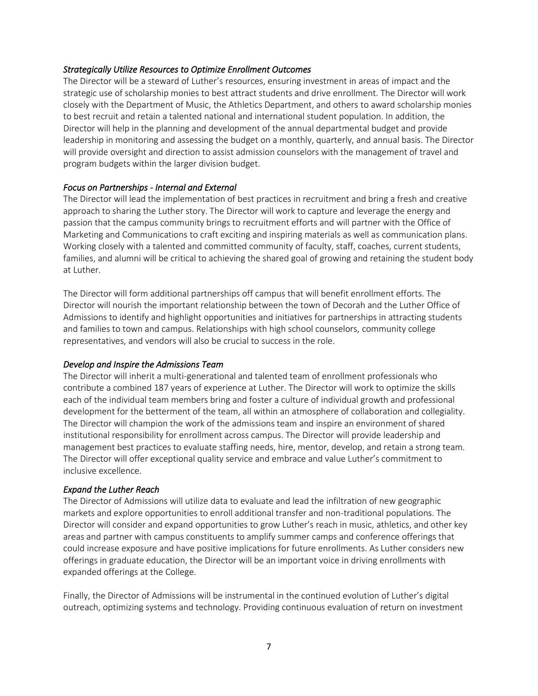#### *Strategically Utilize Resources to Optimize Enrollment Outcomes*

The Director will be a steward of Luther's resources, ensuring investment in areas of impact and the strategic use of scholarship monies to best attract students and drive enrollment. The Director will work closely with the Department of Music, the Athletics Department, and others to award scholarship monies to best recruit and retain a talented national and international student population. In addition, the Director will help in the planning and development of the annual departmental budget and provide leadership in monitoring and assessing the budget on a monthly, quarterly, and annual basis. The Director will provide oversight and direction to assist admission counselors with the management of travel and program budgets within the larger division budget.

#### *Focus on Partnerships - Internal and External*

The Director will lead the implementation of best practices in recruitment and bring a fresh and creative approach to sharing the Luther story. The Director will work to capture and leverage the energy and passion that the campus community brings to recruitment efforts and will partner with the Office of Marketing and Communications to craft exciting and inspiring materials as well as communication plans. Working closely with a talented and committed community of faculty, staff, coaches, current students, families, and alumni will be critical to achieving the shared goal of growing and retaining the student body at Luther.

The Director will form additional partnerships off campus that will benefit enrollment efforts. The Director will nourish the important relationship between the town of Decorah and the Luther Office of Admissions to identify and highlight opportunities and initiatives for partnerships in attracting students and families to town and campus. Relationships with high school counselors, community college representatives, and vendors will also be crucial to success in the role.

#### *Develop and Inspire the Admissions Team*

The Director will inherit a multi-generational and talented team of enrollment professionals who contribute a combined 187 years of experience at Luther. The Director will work to optimize the skills each of the individual team members bring and foster a culture of individual growth and professional development for the betterment of the team, all within an atmosphere of collaboration and collegiality. The Director will champion the work of the admissions team and inspire an environment of shared institutional responsibility for enrollment across campus. The Director will provide leadership and management best practices to evaluate staffing needs, hire, mentor, develop, and retain a strong team. The Director will offer exceptional quality service and embrace and value Luther's commitment to inclusive excellence.

#### *Expand the Luther Reach*

The Director of Admissions will utilize data to evaluate and lead the infiltration of new geographic markets and explore opportunities to enroll additional transfer and non-traditional populations. The Director will consider and expand opportunities to grow Luther's reach in music, athletics, and other key areas and partner with campus constituents to amplify summer camps and conference offerings that could increase exposure and have positive implications for future enrollments. As Luther considers new offerings in graduate education, the Director will be an important voice in driving enrollments with expanded offerings at the College.

Finally, the Director of Admissions will be instrumental in the continued evolution of Luther's digital outreach, optimizing systems and technology. Providing continuous evaluation of return on investment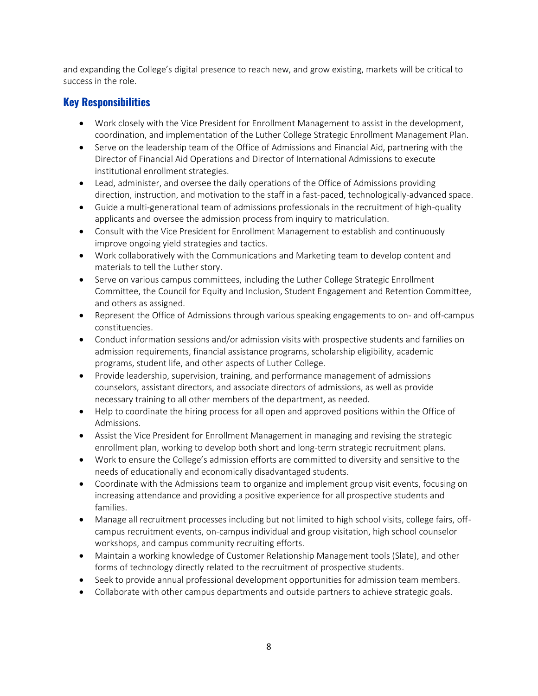and expanding the College's digital presence to reach new, and grow existing, markets will be critical to success in the role.

# **Key Responsibilities**

- Work closely with the Vice President for Enrollment Management to assist in the development, coordination, and implementation of the Luther College Strategic Enrollment Management Plan.
- Serve on the leadership team of the Office of Admissions and Financial Aid, partnering with the Director of Financial Aid Operations and Director of International Admissions to execute institutional enrollment strategies.
- Lead, administer, and oversee the daily operations of the Office of Admissions providing direction, instruction, and motivation to the staff in a fast-paced, technologically-advanced space.
- Guide a multi-generational team of admissions professionals in the recruitment of high-quality applicants and oversee the admission process from inquiry to matriculation.
- Consult with the Vice President for Enrollment Management to establish and continuously improve ongoing yield strategies and tactics.
- Work collaboratively with the Communications and Marketing team to develop content and materials to tell the Luther story.
- Serve on various campus committees, including the Luther College Strategic Enrollment Committee, the Council for Equity and Inclusion, Student Engagement and Retention Committee, and others as assigned.
- Represent the Office of Admissions through various speaking engagements to on- and off-campus constituencies.
- Conduct information sessions and/or admission visits with prospective students and families on admission requirements, financial assistance programs, scholarship eligibility, academic programs, student life, and other aspects of Luther College.
- Provide leadership, supervision, training, and performance management of admissions counselors, assistant directors, and associate directors of admissions, as well as provide necessary training to all other members of the department, as needed.
- Help to coordinate the hiring process for all open and approved positions within the Office of Admissions.
- Assist the Vice President for Enrollment Management in managing and revising the strategic enrollment plan, working to develop both short and long-term strategic recruitment plans.
- Work to ensure the College's admission efforts are committed to diversity and sensitive to the needs of educationally and economically disadvantaged students.
- Coordinate with the Admissions team to organize and implement group visit events, focusing on increasing attendance and providing a positive experience for all prospective students and families.
- Manage all recruitment processes including but not limited to high school visits, college fairs, offcampus recruitment events, on-campus individual and group visitation, high school counselor workshops, and campus community recruiting efforts.
- Maintain a working knowledge of Customer Relationship Management tools (Slate), and other forms of technology directly related to the recruitment of prospective students.
- Seek to provide annual professional development opportunities for admission team members.
- Collaborate with other campus departments and outside partners to achieve strategic goals.